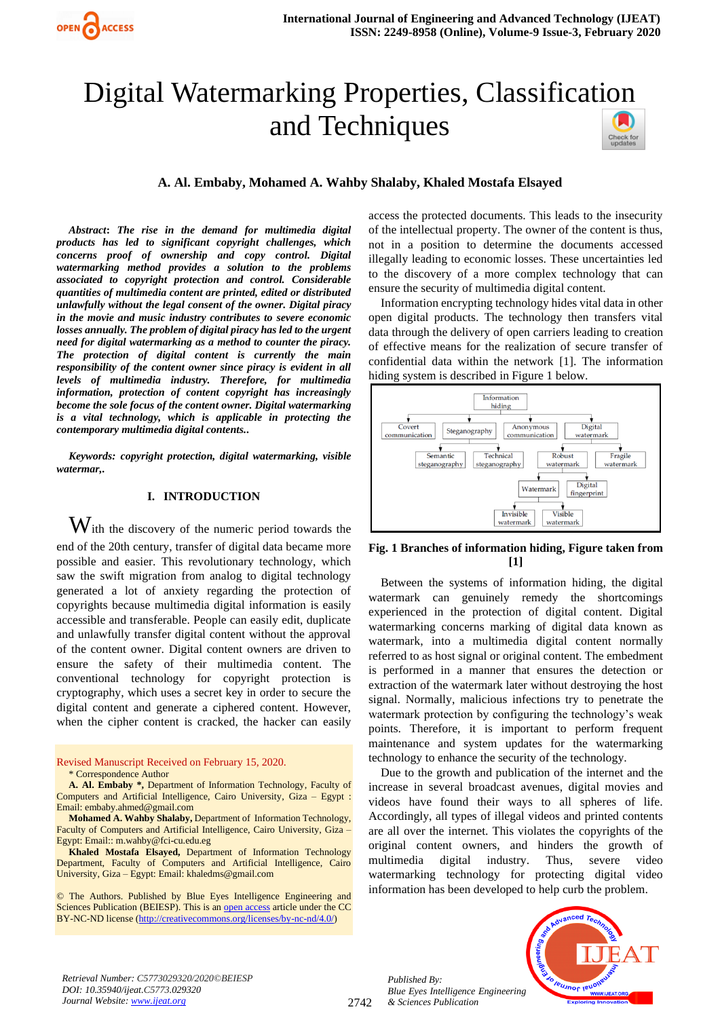# Digital Watermarking Properties, Classification and Techniques



*Abstract***:** *The rise in the demand for multimedia digital products has led to significant copyright challenges, which concerns proof of ownership and copy control. Digital watermarking method provides a solution to the problems associated to copyright protection and control. Considerable quantities of multimedia content are printed, edited or distributed unlawfully without the legal consent of the owner. Digital piracy in the movie and music industry contributes to severe economic losses annually. The problem of digital piracy has led to the urgent need for digital watermarking as a method to counter the piracy. The protection of digital content is currently the main responsibility of the content owner since piracy is evident in all levels of multimedia industry. Therefore, for multimedia information, protection of content copyright has increasingly become the sole focus of the content owner. Digital watermarking is a vital technology, which is applicable in protecting the contemporary multimedia digital contents..*

*Keywords: copyright protection, digital watermarking, visible watermar,.* 

# **I. INTRODUCTION**

 $\mathbf{W}$ ith the discovery of the numeric period towards the end of the 20th century, transfer of digital data became more possible and easier. This revolutionary technology, which saw the swift migration from analog to digital technology generated a lot of anxiety regarding the protection of copyrights because multimedia digital information is easily accessible and transferable. People can easily edit, duplicate and unlawfully transfer digital content without the approval of the content owner. Digital content owners are driven to ensure the safety of their multimedia content. The conventional technology for copyright protection is cryptography, which uses a secret key in order to secure the digital content and generate a ciphered content. However, when the cipher content is cracked, the hacker can easily

#### Revised Manuscript Received on February 15, 2020. \* Correspondence Author

**A. Al. Embaby \*,** Department of Information Technology, Faculty of Computers and Artificial Intelligence, Cairo University, Giza – Egypt : Email: embaby.ahmed@gmail.com

**Mohamed A. Wahby Shalaby,** Department of Information Technology, Faculty of Computers and Artificial Intelligence, Cairo University, Giza – Egypt: Email:: m.wahby@fci-cu.edu.eg

**Khaled Mostafa Elsayed,** Department of Information Technology Department, Faculty of Computers and Artificial Intelligence, Cairo University, Giza – Egypt: Email: khaledms@gmail.com

© The Authors. Published by Blue Eyes Intelligence Engineering and Sciences Publication (BEIESP). This is a[n open access](https://www.openaccess.nl/en/open-publications) article under the CC BY-NC-ND license [\(http://creativecommons.org/licenses/by-nc-nd/4.0/\)](http://creativecommons.org/licenses/by-nc-nd/4.0/)

access the protected documents. This leads to the insecurity of the intellectual property. The owner of the content is thus, not in a position to determine the documents accessed illegally leading to economic losses. These uncertainties led to the discovery of a more complex technology that can ensure the security of multimedia digital content.

Information encrypting technology hides vital data in other open digital products. The technology then transfers vital data through the delivery of open carriers leading to creation of effective means for the realization of secure transfer of confidential data within the network [1]. The information hiding system is described in Figure 1 below.



# **Fig. 1 Branches of information hiding, Figure taken from [1]**

Between the systems of information hiding, the digital watermark can genuinely remedy the shortcomings experienced in the protection of digital content. Digital watermarking concerns marking of digital data known as watermark, into a multimedia digital content normally referred to as host signal or original content. The embedment is performed in a manner that ensures the detection or extraction of the watermark later without destroying the host signal. Normally, malicious infections try to penetrate the watermark protection by configuring the technology's weak points. Therefore, it is important to perform frequent maintenance and system updates for the watermarking technology to enhance the security of the technology.

Due to the growth and publication of the internet and the increase in several broadcast avenues, digital movies and videos have found their ways to all spheres of life. Accordingly, all types of illegal videos and printed contents are all over the internet. This violates the copyrights of the original content owners, and hinders the growth of multimedia digital industry. Thus, severe video watermarking technology for protecting digital video information has been developed to help curb the problem.

*Retrieval Number: C5773029320/2020©BEIESP DOI: 10.35940/ijeat.C5773.029320 Journal Website[: www.ijeat.org](http://www.ijeat.org/)*

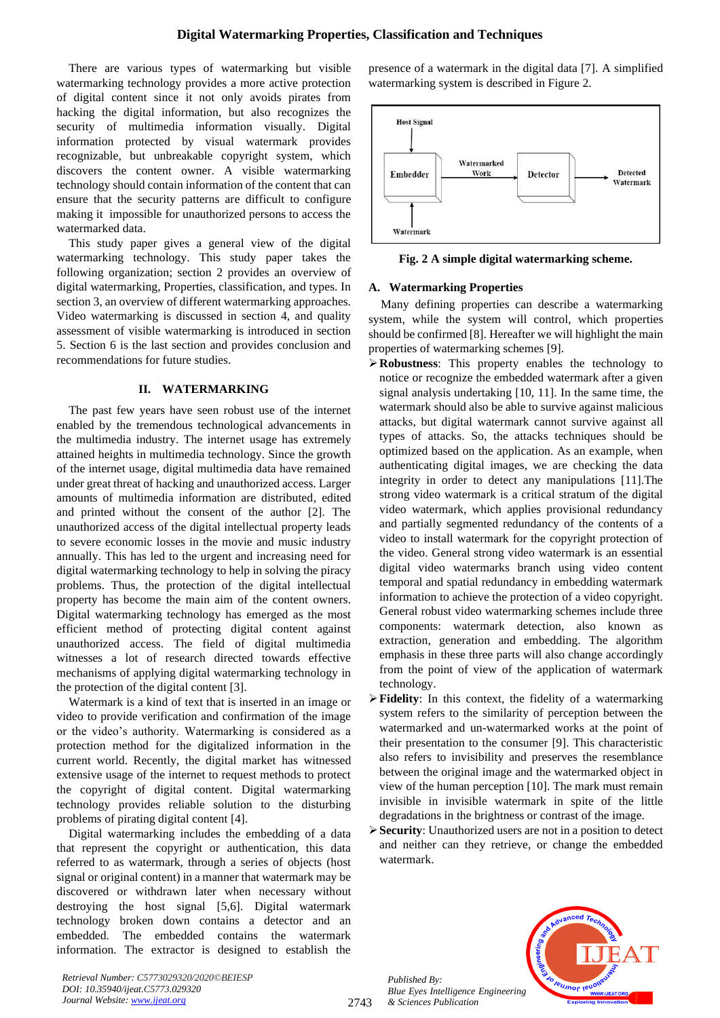There are various types of watermarking but visible watermarking technology provides a more active protection of digital content since it not only avoids pirates from hacking the digital information, but also recognizes the security of multimedia information visually. Digital information protected by visual watermark provides recognizable, but unbreakable copyright system, which discovers the content owner. A visible watermarking technology should contain information of the content that can ensure that the security patterns are difficult to configure making it impossible for unauthorized persons to access the watermarked data.

This study paper gives a general view of the digital watermarking technology. This study paper takes the following organization; section 2 provides an overview of digital watermarking, Properties, classification, and types. In section 3, an overview of different watermarking approaches. Video watermarking is discussed in section 4, and quality assessment of visible watermarking is introduced in section 5. Section 6 is the last section and provides conclusion and recommendations for future studies.

#### **II. WATERMARKING**

The past few years have seen robust use of the internet enabled by the tremendous technological advancements in the multimedia industry. The internet usage has extremely attained heights in multimedia technology. Since the growth of the internet usage, digital multimedia data have remained under great threat of hacking and unauthorized access. Larger amounts of multimedia information are distributed, edited and printed without the consent of the author [2]. The unauthorized access of the digital intellectual property leads to severe economic losses in the movie and music industry annually. This has led to the urgent and increasing need for digital watermarking technology to help in solving the piracy problems. Thus, the protection of the digital intellectual property has become the main aim of the content owners. Digital watermarking technology has emerged as the most efficient method of protecting digital content against unauthorized access. The field of digital multimedia witnesses a lot of research directed towards effective mechanisms of applying digital watermarking technology in the protection of the digital content [3].

Watermark is a kind of text that is inserted in an image or video to provide verification and confirmation of the image or the video's authority. Watermarking is considered as a protection method for the digitalized information in the current world. Recently, the digital market has witnessed extensive usage of the internet to request methods to protect the copyright of digital content. Digital watermarking technology provides reliable solution to the disturbing problems of pirating digital content [4].

Digital watermarking includes the embedding of a data that represent the copyright or authentication, this data referred to as watermark, through a series of objects (host signal or original content) in a manner that watermark may be discovered or withdrawn later when necessary without destroying the host signal [5,6]. Digital watermark technology broken down contains a detector and an embedded. The embedded contains the watermark information. The extractor is designed to establish the presence of a watermark in the digital data [7]. A simplified watermarking system is described in Figure 2.



**Fig. 2 A simple digital watermarking scheme.**

#### **A. Watermarking Properties**

Many defining properties can describe a watermarking system, while the system will control, which properties should be confirmed [8]. Hereafter we will highlight the main properties of watermarking schemes [9].

- ➢**Robustness**: This property enables the technology to notice or recognize the embedded watermark after a given signal analysis undertaking [10, 11]. In the same time, the watermark should also be able to survive against malicious attacks, but digital watermark cannot survive against all types of attacks. So, the attacks techniques should be optimized based on the application. As an example, when authenticating digital images, we are checking the data integrity in order to detect any manipulations [11].The strong video watermark is a critical stratum of the digital video watermark, which applies provisional redundancy and partially segmented redundancy of the contents of a video to install watermark for the copyright protection of the video. General strong video watermark is an essential digital video watermarks branch using video content temporal and spatial redundancy in embedding watermark information to achieve the protection of a video copyright. General robust video watermarking schemes include three components: watermark detection, also known as extraction, generation and embedding. The algorithm emphasis in these three parts will also change accordingly from the point of view of the application of watermark technology.
- ➢**Fidelity**: In this context, the fidelity of a watermarking system refers to the similarity of perception between the watermarked and un-watermarked works at the point of their presentation to the consumer [9]. This characteristic also refers to invisibility and preserves the resemblance between the original image and the watermarked object in view of the human perception [10]. The mark must remain invisible in invisible watermark in spite of the little degradations in the brightness or contrast of the image.
- ➢**Security**: Unauthorized users are not in a position to detect and neither can they retrieve, or change the embedded watermark.

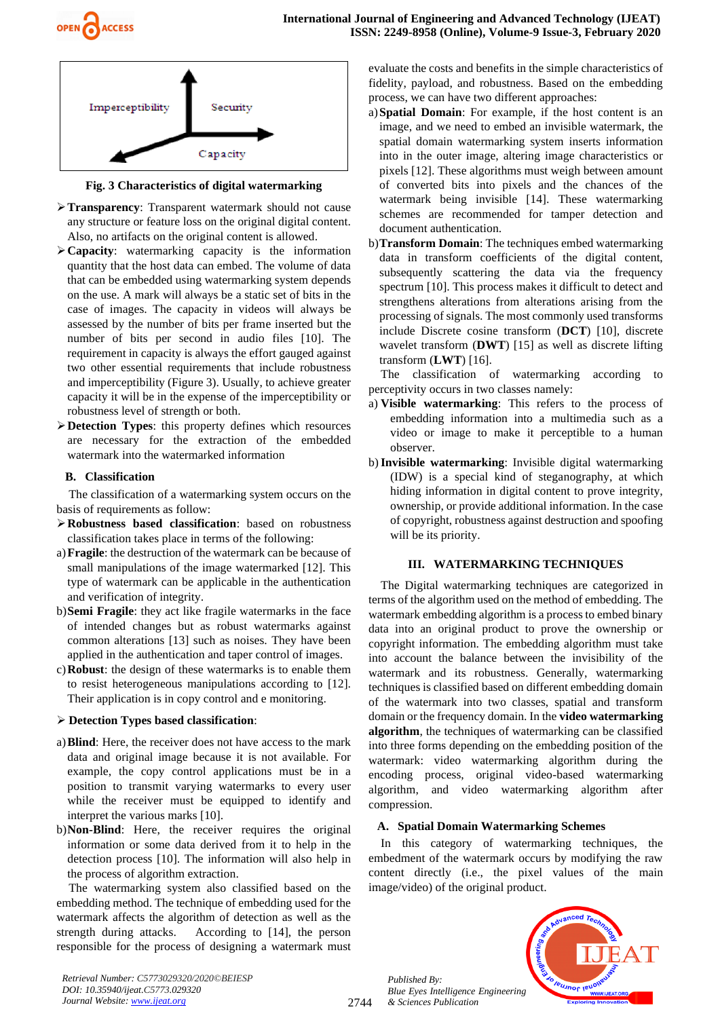

**Fig. 3 Characteristics of digital watermarking**

- ➢**Transparency**: Transparent watermark should not cause any structure or feature loss on the original digital content. Also, no artifacts on the original content is allowed.
- ➢**Capacity**: watermarking capacity is the information quantity that the host data can embed. The volume of data that can be embedded using watermarking system depends on the use. A mark will always be a static set of bits in the case of images. The capacity in videos will always be assessed by the number of bits per frame inserted but the number of bits per second in audio files [10]. The requirement in capacity is always the effort gauged against two other essential requirements that include robustness and imperceptibility (Figure 3). Usually, to achieve greater capacity it will be in the expense of the imperceptibility or robustness level of strength or both.
- ➢**Detection Types**: this property defines which resources are necessary for the extraction of the embedded watermark into the watermarked information

# **B. Classification**

The classification of a watermarking system occurs on the basis of requirements as follow:

- ➢**Robustness based classification**: based on robustness classification takes place in terms of the following:
- a)**Fragile**: the destruction of the watermark can be because of small manipulations of the image watermarked [12]. This type of watermark can be applicable in the authentication and verification of integrity.
- b)**Semi Fragile**: they act like fragile watermarks in the face of intended changes but as robust watermarks against common alterations [13] such as noises. They have been applied in the authentication and taper control of images.
- c)**Robust**: the design of these watermarks is to enable them to resist heterogeneous manipulations according to [12]. Their application is in copy control and e monitoring.

# ➢ **Detection Types based classification**:

- a)**Blind**: Here, the receiver does not have access to the mark data and original image because it is not available. For example, the copy control applications must be in a position to transmit varying watermarks to every user while the receiver must be equipped to identify and interpret the various marks [10].
- b)**Non-Blind**: Here, the receiver requires the original information or some data derived from it to help in the detection process [10]. The information will also help in the process of algorithm extraction.

The watermarking system also classified based on the embedding method. The technique of embedding used for the watermark affects the algorithm of detection as well as the strength during attacks. According to [14], the person responsible for the process of designing a watermark must evaluate the costs and benefits in the simple characteristics of fidelity, payload, and robustness. Based on the embedding process, we can have two different approaches:

- a)**Spatial Domain**: For example, if the host content is an image, and we need to embed an invisible watermark, the spatial domain watermarking system inserts information into in the outer image, altering image characteristics or pixels [12]. These algorithms must weigh between amount of converted bits into pixels and the chances of the watermark being invisible [14]. These watermarking schemes are recommended for tamper detection and document authentication.
- b)**Transform Domain**: The techniques embed watermarking data in transform coefficients of the digital content, subsequently scattering the data via the frequency spectrum [10]. This process makes it difficult to detect and strengthens alterations from alterations arising from the processing of signals. The most commonly used transforms include Discrete cosine transform (**DCT**) [10], discrete wavelet transform (**DWT**) [15] as well as discrete lifting transform (**LWT**) [16].

The classification of watermarking according to perceptivity occurs in two classes namely:

- a) **Visible watermarking**: This refers to the process of embedding information into a multimedia such as a video or image to make it perceptible to a human observer.
- b)**Invisible watermarking**: Invisible digital watermarking (IDW) is a special kind of steganography, at which hiding information in digital content to prove integrity, ownership, or provide additional information. In the case of copyright, robustness against destruction and spoofing will be its priority.

# **III. WATERMARKING TECHNIQUES**

The Digital watermarking techniques are categorized in terms of the algorithm used on the method of embedding. The watermark embedding algorithm is a process to embed binary data into an original product to prove the ownership or copyright information. The embedding algorithm must take into account the balance between the invisibility of the watermark and its robustness. Generally, watermarking techniques is classified based on different embedding domain of the watermark into two classes, spatial and transform domain or the frequency domain. In the **video watermarking algorithm**, the techniques of watermarking can be classified into three forms depending on the embedding position of the watermark: video watermarking algorithm during the encoding process, original video-based watermarking algorithm, and video watermarking algorithm after compression.

# **A. Spatial Domain Watermarking Schemes**

In this category of watermarking techniques, the embedment of the watermark occurs by modifying the raw content directly (i.e., the pixel values of the main image/video) of the original product.

*Published By: Blue Eyes Intelligence Engineering & Sciences Publication* 



*Retrieval Number: C5773029320/2020©BEIESP DOI: 10.35940/ijeat.C5773.029320 Journal Website[: www.ijeat.org](http://www.ijeat.org/)*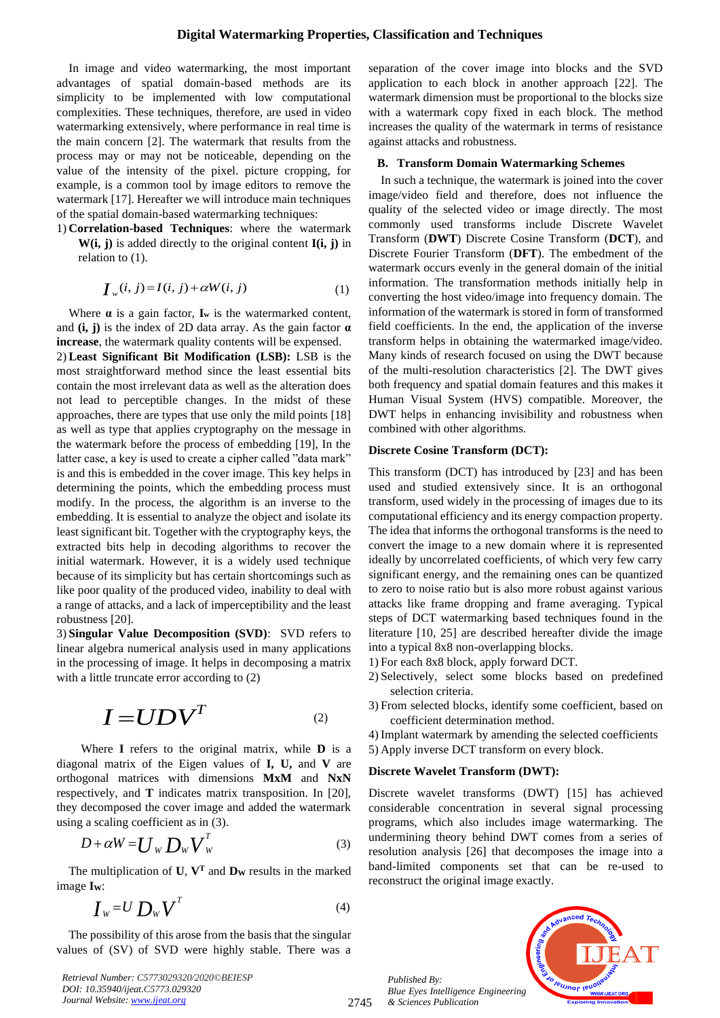In image and video watermarking, the most important advantages of spatial domain-based methods are its simplicity to be implemented with low computational complexities. These techniques, therefore, are used in video watermarking extensively, where performance in real time is the main concern [2]. The watermark that results from the process may or may not be noticeable, depending on the value of the intensity of the pixel. picture cropping, for example, is a common tool by image editors to remove the watermark [17]. Hereafter we will introduce main techniques of the spatial domain-based watermarking techniques:

1) **Correlation-based Techniques**: where the watermark **W(i, j)** is added directly to the original content **I(i, j)** in relation to (1).

$$
\boldsymbol{I}_{w}(i,j) = I(i,j) + \alpha W(i,j) \tag{1}
$$

Where  $\alpha$  is a gain factor,  $\mathbf{I}_w$  is the watermarked content, and **(i, j)** is the index of 2D data array. As the gain factor **α increase**, the watermark quality contents will be expensed.

2) **Least Significant Bit Modification (LSB):** LSB is the most straightforward method since the least essential bits contain the most irrelevant data as well as the alteration does not lead to perceptible changes. In the midst of these approaches, there are types that use only the mild points [18] as well as type that applies cryptography on the message in the watermark before the process of embedding [19], In the latter case, a key is used to create a cipher called "data mark" is and this is embedded in the cover image. This key helps in determining the points, which the embedding process must modify. In the process, the algorithm is an inverse to the embedding. It is essential to analyze the object and isolate its least significant bit. Together with the cryptography keys, the extracted bits help in decoding algorithms to recover the initial watermark. However, it is a widely used technique because of its simplicity but has certain shortcomings such as like poor quality of the produced video, inability to deal with a range of attacks, and a lack of imperceptibility and the least robustness [20].

3) **Singular Value Decomposition (SVD)**: SVD refers to linear algebra numerical analysis used in many applications in the processing of image. It helps in decomposing a matrix with a little truncate error according to  $(2)$ 

$$
I = UDV^T \qquad \qquad {}^{(2)}
$$

Where **I** refers to the original matrix, while **D** is a diagonal matrix of the Eigen values of **I, U,** and **V** are orthogonal matrices with dimensions **MxM** and **NxN** respectively, and **T** indicates matrix transposition. In [20], they decomposed the cover image and added the watermark using a scaling coefficient as in (3).

$$
D + \alpha W = U_W D_W V_W^T
$$
 (3)

The multiplication of  $U$ ,  $V<sup>T</sup>$  and  $D<sub>W</sub>$  results in the marked image **IW**:

$$
I_{w} = U D_{w} V^{T}
$$
 (4)

The possibility of this arose from the basis that the singular values of (SV) of SVD were highly stable. There was a

*Retrieval Number: C5773029320/2020©BEIESP DOI: 10.35940/ijeat.C5773.029320 Journal Website[: www.ijeat.org](http://www.ijeat.org/)*

separation of the cover image into blocks and the SVD application to each block in another approach [22]. The watermark dimension must be proportional to the blocks size with a watermark copy fixed in each block. The method increases the quality of the watermark in terms of resistance against attacks and robustness.

#### **B. Transform Domain Watermarking Schemes**

In such a technique, the watermark is joined into the cover image/video field and therefore, does not influence the quality of the selected video or image directly. The most commonly used transforms include Discrete Wavelet Transform (**DWT**) Discrete Cosine Transform (**DCT**), and Discrete Fourier Transform (**DFT**). The embedment of the watermark occurs evenly in the general domain of the initial information. The transformation methods initially help in converting the host video/image into frequency domain. The information of the watermark is stored in form of transformed field coefficients. In the end, the application of the inverse transform helps in obtaining the watermarked image/video. Many kinds of research focused on using the DWT because of the multi-resolution characteristics [2]. The DWT gives both frequency and spatial domain features and this makes it Human Visual System (HVS) compatible. Moreover, the DWT helps in enhancing invisibility and robustness when combined with other algorithms.

#### **Discrete Cosine Transform (DCT):**

This transform (DCT) has introduced by [23] and has been used and studied extensively since. It is an orthogonal transform, used widely in the processing of images due to its computational efficiency and its energy compaction property. The idea that informs the orthogonal transforms is the need to convert the image to a new domain where it is represented ideally by uncorrelated coefficients, of which very few carry significant energy, and the remaining ones can be quantized to zero to noise ratio but is also more robust against various attacks like frame dropping and frame averaging. Typical steps of DCT watermarking based techniques found in the literature [10, 25] are described hereafter divide the image into a typical 8x8 non-overlapping blocks.

- 1) For each 8x8 block, apply forward DCT.
- 2) Selectively, select some blocks based on predefined selection criteria.
- 3) From selected blocks, identify some coefficient, based on coefficient determination method.
- 4) Implant watermark by amending the selected coefficients
- 5) Apply inverse DCT transform on every block.

#### **Discrete Wavelet Transform (DWT):**

Discrete wavelet transforms (DWT) [15] has achieved considerable concentration in several signal processing programs, which also includes image watermarking. The undermining theory behind DWT comes from a series of resolution analysis [26] that decomposes the image into a band-limited components set that can be re-used to reconstruct the original image exactly.

*Published By: Blue Eyes Intelligence Engineering & Sciences Publication* 



2745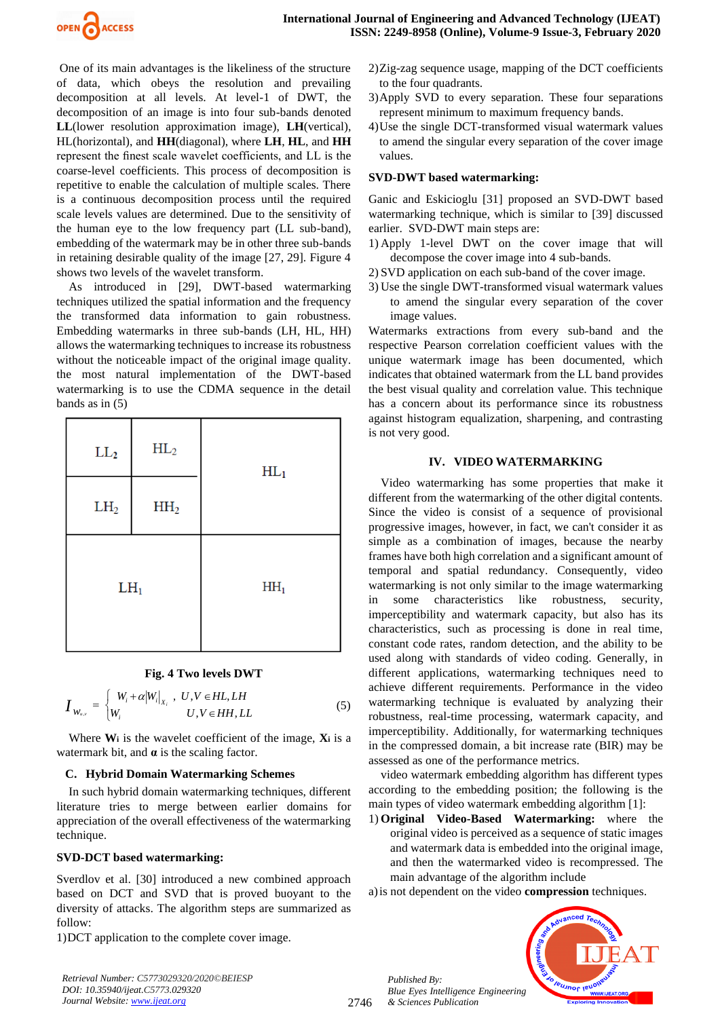

One of its main advantages is the likeliness of the structure of data, which obeys the resolution and prevailing decomposition at all levels. At level-1 of DWT, the decomposition of an image is into four sub-bands denoted **LL**(lower resolution approximation image), **LH**(vertical), HL(horizontal), and **HH**(diagonal), where **LH**, **HL**, and **HH** represent the finest scale wavelet coefficients, and LL is the coarse-level coefficients. This process of decomposition is repetitive to enable the calculation of multiple scales. There is a continuous decomposition process until the required scale levels values are determined. Due to the sensitivity of the human eye to the low frequency part (LL sub-band), embedding of the watermark may be in other three sub-bands in retaining desirable quality of the image [27, 29]. Figure 4 shows two levels of the wavelet transform.

As introduced in [29], DWT-based watermarking techniques utilized the spatial information and the frequency the transformed data information to gain robustness. Embedding watermarks in three sub-bands (LH, HL, HH) allows the watermarking techniques to increase its robustness without the noticeable impact of the original image quality. the most natural implementation of the DWT-based watermarking is to use the CDMA sequence in the detail bands as in  $(5)$ 

| $\rm LL_2$      | $HL_2$          | $HL_1$          |
|-----------------|-----------------|-----------------|
| LH <sub>2</sub> | HH <sub>2</sub> |                 |
| $LH_1$          |                 | HH <sub>1</sub> |

# **Fig. 4 Two levels DWT**

$$
\boldsymbol{I}_{W_{u,v}} = \begin{cases} W_i + \alpha |W_i|_{X_i} , & U, V \in HL, LH \\ W_i & U, V \in HH, LL \end{cases} \tag{5}
$$

Where  $W_i$  is the wavelet coefficient of the image,  $X_i$  is a watermark bit, and **α** is the scaling factor.

# **C. Hybrid Domain Watermarking Schemes**

In such hybrid domain watermarking techniques, different literature tries to merge between earlier domains for appreciation of the overall effectiveness of the watermarking technique.

#### **SVD-DCT based watermarking:**

Sverdlov et al. [30] introduced a new combined approach based on DCT and SVD that is proved buoyant to the diversity of attacks. The algorithm steps are summarized as follow:

1)DCT application to the complete cover image.

*Retrieval Number: C5773029320/2020©BEIESP DOI: 10.35940/ijeat.C5773.029320 Journal Website[: www.ijeat.org](http://www.ijeat.org/)*

- 2)Zig-zag sequence usage, mapping of the DCT coefficients to the four quadrants.
- 3)Apply SVD to every separation. These four separations represent minimum to maximum frequency bands.
- 4)Use the single DCT-transformed visual watermark values to amend the singular every separation of the cover image values.

# **SVD-DWT based watermarking:**

Ganic and Eskicioglu [31] proposed an SVD-DWT based watermarking technique, which is similar to [39] discussed earlier. SVD-DWT main steps are:

- 1) Apply 1-level DWT on the cover image that will decompose the cover image into 4 sub-bands.
- 2) SVD application on each sub-band of the cover image.
- 3) Use the single DWT-transformed visual watermark values to amend the singular every separation of the cover image values.

Watermarks extractions from every sub-band and the respective Pearson correlation coefficient values with the unique watermark image has been documented, which indicates that obtained watermark from the LL band provides the best visual quality and correlation value. This technique has a concern about its performance since its robustness against histogram equalization, sharpening, and contrasting is not very good.

# **IV. VIDEO WATERMARKING**

Video watermarking has some properties that make it different from the watermarking of the other digital contents. Since the video is consist of a sequence of provisional progressive images, however, in fact, we can't consider it as simple as a combination of images, because the nearby frames have both high correlation and a significant amount of temporal and spatial redundancy. Consequently, video watermarking is not only similar to the image watermarking in some characteristics like robustness, security, imperceptibility and watermark capacity, but also has its characteristics, such as processing is done in real time, constant code rates, random detection, and the ability to be used along with standards of video coding. Generally, in different applications, watermarking techniques need to achieve different requirements. Performance in the video watermarking technique is evaluated by analyzing their robustness, real-time processing, watermark capacity, and imperceptibility. Additionally, for watermarking techniques in the compressed domain, a bit increase rate (BIR) may be assessed as one of the performance metrics.

video watermark embedding algorithm has different types according to the embedding position; the following is the main types of video watermark embedding algorithm [1]:

1) **Original Video-Based Watermarking:** where the original video is perceived as a sequence of static images and watermark data is embedded into the original image, and then the watermarked video is recompressed. The main advantage of the algorithm include

a)is not dependent on the video **compression** techniques.



*Published By: Blue Eyes Intelligence Engineering & Sciences Publication* 

2746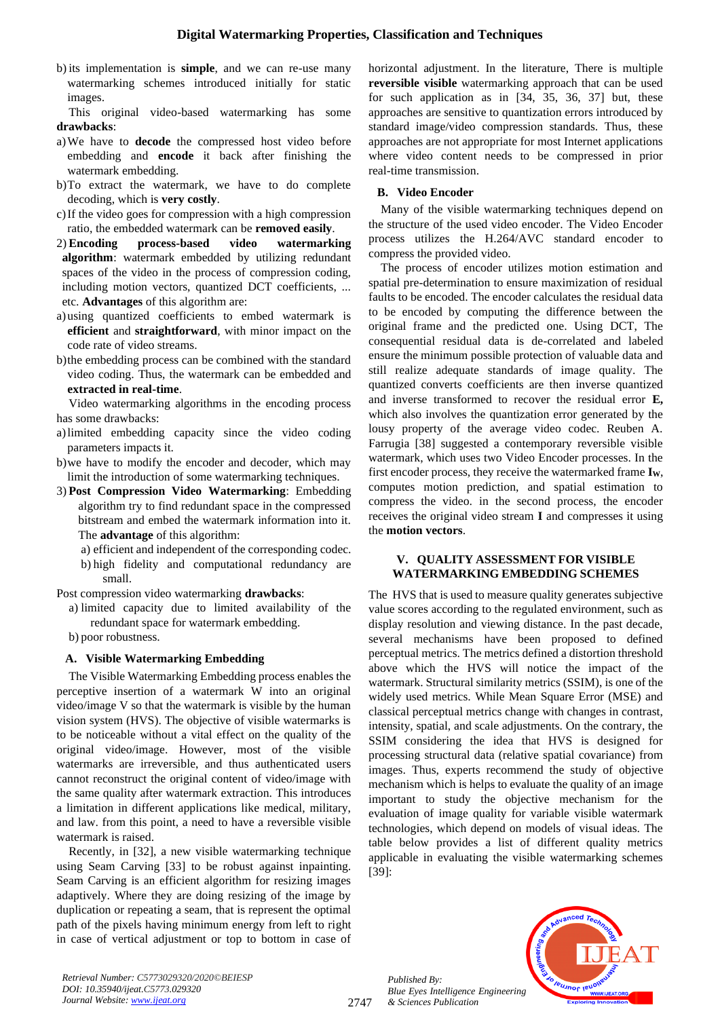b) its implementation is **simple**, and we can re-use many watermarking schemes introduced initially for static images.

This original video-based watermarking has some **drawbacks**:

- a)We have to **decode** the compressed host video before embedding and **encode** it back after finishing the watermark embedding.
- b)To extract the watermark, we have to do complete decoding, which is **very costly**.
- c)If the video goes for compression with a high compression ratio, the embedded watermark can be **removed easily**.
- 2) **Encoding process-based video watermarking algorithm**: watermark embedded by utilizing redundant spaces of the video in the process of compression coding, including motion vectors, quantized DCT coefficients, ... etc. **Advantages** of this algorithm are:
- a)using quantized coefficients to embed watermark is **efficient** and **straightforward**, with minor impact on the code rate of video streams.
- b)the embedding process can be combined with the standard video coding. Thus, the watermark can be embedded and **extracted in real-time**.

Video watermarking algorithms in the encoding process has some drawbacks:

- a)limited embedding capacity since the video coding parameters impacts it.
- b)we have to modify the encoder and decoder, which may limit the introduction of some watermarking techniques.
- 3) **Post Compression Video Watermarking**: Embedding algorithm try to find redundant space in the compressed bitstream and embed the watermark information into it. The **advantage** of this algorithm:

a) efficient and independent of the corresponding codec. b) high fidelity and computational redundancy are small.

Post compression video watermarking **drawbacks**:

- a) limited capacity due to limited availability of the redundant space for watermark embedding.
- b) poor robustness.

# **A. Visible Watermarking Embedding**

The Visible Watermarking Embedding process enables the perceptive insertion of a watermark W into an original video/image V so that the watermark is visible by the human vision system (HVS). The objective of visible watermarks is to be noticeable without a vital effect on the quality of the original video/image. However, most of the visible watermarks are irreversible, and thus authenticated users cannot reconstruct the original content of video/image with the same quality after watermark extraction. This introduces a limitation in different applications like medical, military, and law. from this point, a need to have a reversible visible watermark is raised.

Recently, in [32], a new visible watermarking technique using Seam Carving [33] to be robust against inpainting. Seam Carving is an efficient algorithm for resizing images adaptively. Where they are doing resizing of the image by duplication or repeating a seam, that is represent the optimal path of the pixels having minimum energy from left to right in case of vertical adjustment or top to bottom in case of horizontal adjustment. In the literature, There is multiple **reversible visible** watermarking approach that can be used for such application as in [34, 35, 36, 37] but, these approaches are sensitive to quantization errors introduced by standard image/video compression standards. Thus, these approaches are not appropriate for most Internet applications where video content needs to be compressed in prior real-time transmission.

# **B. Video Encoder**

Many of the visible watermarking techniques depend on the structure of the used video encoder. The Video Encoder process utilizes the H.264/AVC standard encoder to compress the provided video.

The process of encoder utilizes motion estimation and spatial pre-determination to ensure maximization of residual faults to be encoded. The encoder calculates the residual data to be encoded by computing the difference between the original frame and the predicted one. Using DCT, The consequential residual data is de-correlated and labeled ensure the minimum possible protection of valuable data and still realize adequate standards of image quality. The quantized converts coefficients are then inverse quantized and inverse transformed to recover the residual error **E,** which also involves the quantization error generated by the lousy property of the average video codec. Reuben A. Farrugia [38] suggested a contemporary reversible visible watermark, which uses two Video Encoder processes. In the first encoder process, they receive the watermarked frame **IW**, computes motion prediction, and spatial estimation to compress the video. in the second process, the encoder receives the original video stream **I** and compresses it using the **motion vectors**.

#### **V. QUALITY ASSESSMENT FOR VISIBLE WATERMARKING EMBEDDING SCHEMES**

The HVS that is used to measure quality generates subjective value scores according to the regulated environment, such as display resolution and viewing distance. In the past decade, several mechanisms have been proposed to defined perceptual metrics. The metrics defined a distortion threshold above which the HVS will notice the impact of the watermark. Structural similarity metrics (SSIM), is one of the widely used metrics. While Mean Square Error (MSE) and classical perceptual metrics change with changes in contrast, intensity, spatial, and scale adjustments. On the contrary, the SSIM considering the idea that HVS is designed for processing structural data (relative spatial covariance) from images. Thus, experts recommend the study of objective mechanism which is helps to evaluate the quality of an image important to study the objective mechanism for the evaluation of image quality for variable visible watermark technologies, which depend on models of visual ideas. The table below provides a list of different quality metrics applicable in evaluating the visible watermarking schemes [39]:



*Retrieval Number: C5773029320/2020©BEIESP DOI: 10.35940/ijeat.C5773.029320 Journal Website[: www.ijeat.org](http://www.ijeat.org/)*

*Published By:*

*& Sciences Publication*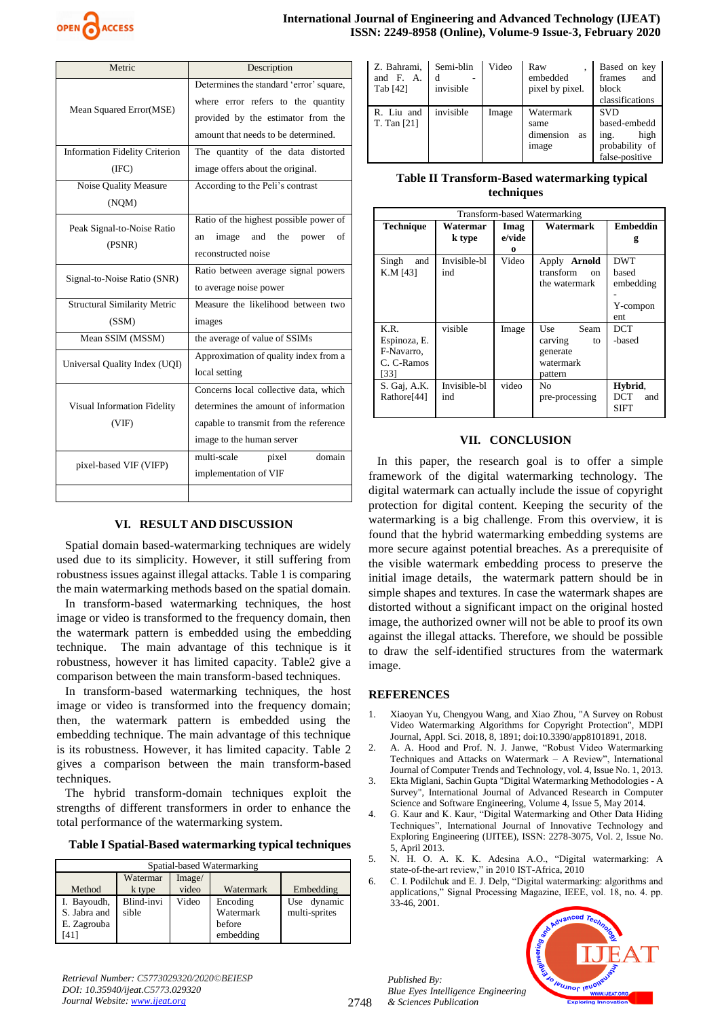

| Metric                                                                      | Description                                                                                                                                                |  |  |
|-----------------------------------------------------------------------------|------------------------------------------------------------------------------------------------------------------------------------------------------------|--|--|
| Mean Squared Error(MSE)                                                     | Determines the standard 'error' square,<br>where error refers to the quantity<br>provided by the estimator from the<br>amount that needs to be determined. |  |  |
| <b>Information Fidelity Criterion</b><br>The quantity of the data distorted |                                                                                                                                                            |  |  |
| (IFC)                                                                       | image offers about the original.                                                                                                                           |  |  |
| Noise Quality Measure                                                       | According to the Peli's contrast                                                                                                                           |  |  |
| (NQM)                                                                       |                                                                                                                                                            |  |  |
| Peak Signal-to-Noise Ratio<br>(PSNR)                                        | Ratio of the highest possible power of<br>image and<br>the<br>power<br>οf<br>an<br>reconstructed noise                                                     |  |  |
| Signal-to-Noise Ratio (SNR)                                                 | Ratio between average signal powers<br>to average noise power                                                                                              |  |  |
| <b>Structural Similarity Metric</b>                                         | Measure the likelihood between two                                                                                                                         |  |  |
| (SSM)                                                                       | images                                                                                                                                                     |  |  |
| Mean SSIM (MSSM)                                                            | the average of value of SSIMs                                                                                                                              |  |  |
| Universal Quality Index (UQI)                                               | Approximation of quality index from a<br>local setting                                                                                                     |  |  |
| Visual Information Fidelity<br>(VIF)                                        | Concerns local collective data, which<br>determines the amount of information<br>capable to transmit from the reference<br>image to the human server       |  |  |
| pixel-based VIF (VIFP)                                                      | domain<br>multi-scale<br>pixel<br>implementation of VIF                                                                                                    |  |  |
|                                                                             |                                                                                                                                                            |  |  |

# **VI. RESULT AND DISCUSSION**

Spatial domain based-watermarking techniques are widely used due to its simplicity. However, it still suffering from robustness issues against illegal attacks. Table 1 is comparing the main watermarking methods based on the spatial domain.

In transform-based watermarking techniques, the host image or video is transformed to the frequency domain, then the watermark pattern is embedded using the embedding technique. The main advantage of this technique is it robustness, however it has limited capacity. Table2 give a comparison between the main transform-based techniques.

In transform-based watermarking techniques, the host image or video is transformed into the frequency domain; then, the watermark pattern is embedded using the embedding technique. The main advantage of this technique is its robustness. However, it has limited capacity. Table 2 gives a comparison between the main transform-based techniques.

The hybrid transform-domain techniques exploit the strengths of different transformers in order to enhance the total performance of the watermarking system.

**Table I Spatial-Based watermarking typical techniques**

| Spatial-based Watermarking                         |                     |                 |                                              |                                 |
|----------------------------------------------------|---------------------|-----------------|----------------------------------------------|---------------------------------|
| Method                                             | Watermar<br>k type  | Image/<br>video | Watermark                                    | Embedding                       |
| I. Bayoudh,<br>S. Jabra and<br>E. Zagrouba<br>[41] | Blind-invi<br>sible | Video           | Encoding<br>Watermark<br>before<br>embedding | dynamic<br>Use<br>multi-sprites |

| Z. Bahrami,<br>and F. A.<br>Tab [42] | Semi-blin<br>invisible | Video | Raw<br>embedded<br>pixel by pixel.            | Based on key<br>frames<br>and<br>block<br>classifications                      |
|--------------------------------------|------------------------|-------|-----------------------------------------------|--------------------------------------------------------------------------------|
| R. Liu and<br>T. Tan [21]            | invisible              | Image | Watermark<br>same<br>dimension<br>as<br>image | <b>SVD</b><br>based-embedd<br>high<br>ing.<br>probability of<br>false-positive |

# **Table II Transform-Based watermarking typical techniques**

| Transform-based Watermarking                             |                     |                     |                                                                  |                                                     |  |
|----------------------------------------------------------|---------------------|---------------------|------------------------------------------------------------------|-----------------------------------------------------|--|
| <b>Technique</b>                                         | Watermar<br>k type  | Imag<br>e/vide<br>0 | Watermark                                                        | <b>Embeddin</b><br>g                                |  |
| Singh<br>and<br>K.M [43]                                 | Invisible-bl<br>ind | Video               | Apply Arnold<br>transform<br>$_{\rm on}$<br>the watermark        | <b>DWT</b><br>based<br>embedding<br>Y-compon<br>ent |  |
| K.R.<br>Espinoza, E.<br>F-Navarro.<br>C. C-Ramos<br>[33] | visible             | Image               | Use<br>Seam<br>carving<br>to<br>generate<br>watermark<br>pattern | <b>DCT</b><br>-based                                |  |
| S. Gaj, A.K.<br>Rathore <sup>[44]</sup>                  | Invisible-bl<br>ind | video               | N <sub>0</sub><br>pre-processing                                 | Hybrid,<br>DCT<br>and<br><b>SIFT</b>                |  |

# **VII. CONCLUSION**

In this paper, the research goal is to offer a simple framework of the digital watermarking technology. The digital watermark can actually include the issue of copyright protection for digital content. Keeping the security of the watermarking is a big challenge. From this overview, it is found that the hybrid watermarking embedding systems are more secure against potential breaches. As a prerequisite of the visible watermark embedding process to preserve the initial image details, the watermark pattern should be in simple shapes and textures. In case the watermark shapes are distorted without a significant impact on the original hosted image, the authorized owner will not be able to proof its own against the illegal attacks. Therefore, we should be possible to draw the self-identified structures from the watermark image.

# **REFERENCES**

- 1. Xiaoyan Yu, Chengyou Wang, and Xiao Zhou, "A Survey on Robust Video Watermarking Algorithms for Copyright Protection", MDPI Journal, Appl. Sci. 2018, 8, 1891; doi:10.3390/app8101891, 2018.
- 2. A. A. Hood and Prof. N. J. Janwe, "Robust Video Watermarking Techniques and Attacks on Watermark – A Review", International Journal of Computer Trends and Technology, vol. 4, Issue No. 1, 2013.
- 3. Ekta Miglani, Sachin Gupta "Digital Watermarking Methodologies A Survey", International Journal of Advanced Research in Computer Science and Software Engineering, Volume 4, Issue 5, May 2014.
- 4. G. Kaur and K. Kaur, "Digital Watermarking and Other Data Hiding Techniques", International Journal of Innovative Technology and Exploring Engineering (IJITEE), ISSN: 2278-3075, Vol. 2, Issue No. 5, April 2013.
- 5. N. H. O. A. K. K. Adesina A.O., "Digital watermarking: A state-of-the-art review," in 2010 IST-Africa, 2010
- 6. C. I. Podilchuk and E. J. Delp, "Digital watermarking: algorithms and applications," Signal Processing Magazine, IEEE, vol. 18, no. 4. pp.  $33 - 46$ , 2001.

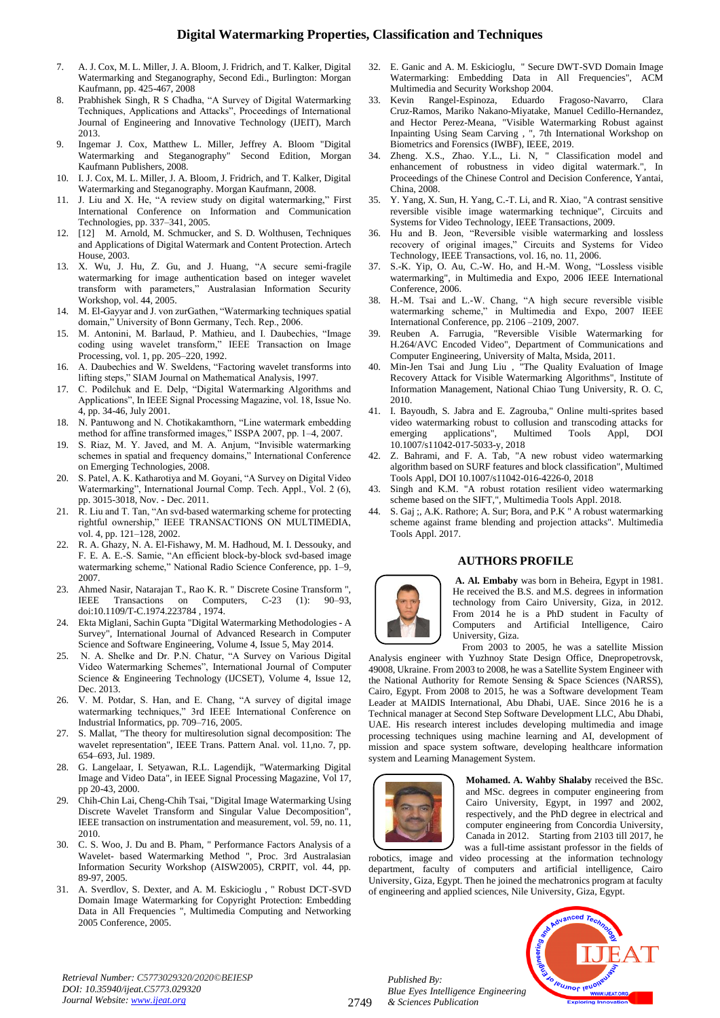- 7. A. J. Cox, M. L. Miller, J. A. Bloom, J. Fridrich, and T. Kalker, Digital Watermarking and Steganography, Second Edi., Burlington: Morgan Kaufmann, pp. 425-467, 2008
- 8. Prabhishek Singh, R S Chadha, "A Survey of Digital Watermarking Techniques, Applications and Attacks", Proceedings of International Journal of Engineering and Innovative Technology (IJEIT), March 2013.
- 9. Ingemar J. Cox, Matthew L. Miller, Jeffrey A. Bloom "Digital Watermarking and Steganography" Second Edition, Morgan Kaufmann Publishers, 2008.
- 10. I. J. Cox, M. L. Miller, J. A. Bloom, J. Fridrich, and T. Kalker, Digital Watermarking and Steganography. Morgan Kaufmann, 2008.
- 11. J. Liu and X. He, "A review study on digital watermarking," First International Conference on Information and Communication Technologies, pp. 337–341, 2005.
- 12. [12] M. Arnold, M. Schmucker, and S. D. Wolthusen, Techniques and Applications of Digital Watermark and Content Protection. Artech House, 2003.
- 13. X. Wu, J. Hu, Z. Gu, and J. Huang, "A secure semi-fragile watermarking for image authentication based on integer wavelet transform with parameters," Australasian Information Security Workshop, vol. 44, 2005.
- 14. M. El-Gayyar and J. von zurGathen, "Watermarking techniques spatial domain," University of Bonn Germany, Tech. Rep., 2006.
- 15. M. Antonini, M. Barlaud, P. Mathieu, and I. Daubechies, "Image coding using wavelet transform," IEEE Transaction on Image Processing, vol. 1, pp. 205–220, 1992.
- 16. A. Daubechies and W. Sweldens, "Factoring wavelet transforms into lifting steps," SIAM Journal on Mathematical Analysis, 1997.
- 17. C. Podilchuk and E. Delp, "Digital Watermarking Algorithms and Applications", In IEEE Signal Processing Magazine, vol. 18, Issue No. 4, pp. 34-46, July 2001.
- 18. N. Pantuwong and N. Chotikakamthorn, "Line watermark embedding method for affine transformed images," ISSPA 2007, pp. 1–4, 2007.
- 19. S. Riaz, M. Y. Javed, and M. A. Anjum, "Invisible watermarking schemes in spatial and frequency domains," International Conference on Emerging Technologies, 2008.
- 20. S. Patel, A. K. Katharotiya and M. Goyani, "A Survey on Digital Video Watermarking", International Journal Comp. Tech. Appl., Vol. 2 (6), pp. 3015-3018, Nov. - Dec. 2011.
- 21. R. Liu and T. Tan, "An svd-based watermarking scheme for protecting rightful ownership," IEEE TRANSACTIONS ON MULTIMEDIA, vol. 4, pp. 121–128, 2002.
- 22. R. A. Ghazy, N. A. El-Fishawy, M. M. Hadhoud, M. I. Dessouky, and F. E. A. E.-S. Samie, "An efficient block-by-block svd-based image watermarking scheme," National Radio Science Conference, pp. 1–9, 2007.
- 23. Ahmed Nasir, Natarajan T., Rao K. R. " Discrete Cosine Transform ", IEEE Transactions on Computers, C-23 (1): 90–93, doi:10.1109/T-C.1974.223784 , 1974.
- 24. Ekta Miglani, Sachin Gupta "Digital Watermarking Methodologies A Survey", International Journal of Advanced Research in Computer Science and Software Engineering, Volume 4, Issue 5, May 2014.
- 25. N. A. Shelke and Dr. P.N. Chatur, "A Survey on Various Digital Video Watermarking Schemes", International Journal of Computer Science & Engineering Technology (IJCSET), Volume 4, Issue 12, Dec. 2013.
- 26. V. M. Potdar, S. Han, and E. Chang, "A survey of digital image watermarking techniques," 3rd IEEE International Conference on Industrial Informatics, pp. 709–716, 2005.
- 27. S. Mallat, "The theory for multiresolution signal decomposition: The wavelet representation", IEEE Trans. Pattern Anal. vol. 11,no. 7, pp. 654–693, Jul. 1989.
- 28. G. Langelaar, I. Setyawan, R.L. Lagendijk, "Watermarking Digital Image and Video Data", in IEEE Signal Processing Magazine, Vol 17, pp 20-43, 2000.
- 29. Chih-Chin Lai, Cheng-Chih Tsai, "Digital Image Watermarking Using Discrete Wavelet Transform and Singular Value Decomposition", IEEE transaction on instrumentation and measurement, vol. 59, no. 11, 2010.
- 30. C. S. Woo, J. Du and B. Pham, " Performance Factors Analysis of a Wavelet- based Watermarking Method ", Proc. 3rd Australasian Information Security Workshop (AISW2005), CRPIT, vol. 44, pp. 89-97, 2005.
- 31. A. Sverdlov, S. Dexter, and A. M. Eskicioglu , " Robust DCT-SVD Domain Image Watermarking for Copyright Protection: Embedding Data in All Frequencies ", Multimedia Computing and Networking 2005 Conference, 2005.
- 32. E. Ganic and A. M. Eskicioglu, " Secure DWT-SVD Domain Image Watermarking: Embedding Data in All Frequencies", ACM Multimedia and Security Workshop 2004.
- 33. Kevin Rangel-Espinoza, Eduardo Fragoso-Navarro, Clara Cruz-Ramos, Mariko Nakano-Miyatake, Manuel Cedillo-Hernandez, and Hector Perez-Meana, "Visible Watermarking Robust against Inpainting Using Seam Carving , ", 7th International Workshop on Biometrics and Forensics (IWBF), IEEE, 2019.
- 34. Zheng. X.S., Zhao. Y.L., Li. N, " Classification model and enhancement of robustness in video digital watermark.", In Proceedings of the Chinese Control and Decision Conference, Yantai, China, 2008.
- 35. Y. Yang, X. Sun, H. Yang, C.-T. Li, and R. Xiao, "A contrast sensitive reversible visible image watermarking technique", Circuits and Systems for Video Technology, IEEE Transactions, 2009.
- 36. Hu and B. Jeon, "Reversible visible watermarking and lossless recovery of original images," Circuits and Systems for Video Technology, IEEE Transactions, vol. 16, no. 11, 2006.
- 37. S.-K. Yip, O. Au, C.-W. Ho, and H.-M. Wong, "Lossless visible watermarking", in Multimedia and Expo, 2006 IEEE International Conference, 2006.
- 38. H.-M. Tsai and L.-W. Chang, "A high secure reversible visible watermarking scheme," in Multimedia and Expo, 2007 IEEE International Conference, pp. 2106 –2109, 2007.<br>Reuben A. Farrugia, "Reversible Visible
- 39. Reuben A. Farrugia, "Reversible Visible Watermarking for H.264/AVC Encoded Video", Department of Communications and Computer Engineering, University of Malta, Msida, 2011.
- 40. Min-Jen Tsai and Jung Liu , "The Quality Evaluation of Image Recovery Attack for Visible Watermarking Algorithms", Institute of Information Management, National Chiao Tung University, R. O. C, 2010.
- 41. I. Bayoudh, S. Jabra and E. Zagrouba," Online multi-sprites based video watermarking robust to collusion and transcoding attacks for emerging applications", Multimed Tools Appl, DOI 10.1007/s11042-017-5033-y, 2018
- 42. Z. Bahrami, and F. A. Tab, "A new robust video watermarking algorithm based on SURF features and block classification", Multimed Tools Appl, DOI 10.1007/s11042-016-4226-0, 2018
- 43. Singh and K.M. "A robust rotation resilient video watermarking scheme based on the SIFT,", Multimedia Tools Appl. 2018.
- S. Gaj ;, A.K. Rathore; A. Sur; Bora, and P.K " A robust watermarking scheme against frame blending and projection attacks". Multimedia Tools Appl. 2017.

#### **AUTHORS PROFILE**



**A. Al. Embaby** was born in Beheira, Egypt in 1981. He received the B.S. and M.S. degrees in information technology from Cairo University, Giza, in 2012. From 2014 he is a PhD student in Faculty of Computers and Artificial Intelligence, Cairo University, Giza.

From 2003 to 2005, he was a satellite Mission Analysis engineer with Yuzhnoy State Design Office, Dnepropetrovsk, 49008, Ukraine. From 2003 to 2008, he was a Satellite System Engineer with the National Authority for Remote Sensing & Space Sciences (NARSS), Cairo, Egypt. From 2008 to 2015, he was a Software development Team Leader at MAIDIS International, Abu Dhabi, UAE. Since 2016 he is a Technical manager at Second Step Software Development LLC, Abu Dhabi, UAE. His research interest includes developing multimedia and image processing techniques using machine learning and AI, development of mission and space system software, developing healthcare information system and Learning Management System.



**Mohamed. A. Wahby Shalaby** received the BSc. and MSc. degrees in computer engineering from Cairo University, Egypt, in 1997 and 2002, respectively, and the PhD degree in electrical and computer engineering from Concordia University, Canada in 2012. Starting from 2103 till 2017, he was a full-time assistant professor in the fields of

robotics, image and video processing at the information technology department, faculty of computers and artificial intelligence, Cairo University, Giza, Egypt. Then he joined the mechatronics program at faculty of engineering and applied sciences, Nile University, Giza, Egypt.



*Retrieval Number: C5773029320/2020©BEIESP DOI: 10.35940/ijeat.C5773.029320 Journal Website[: www.ijeat.org](http://www.ijeat.org/)*